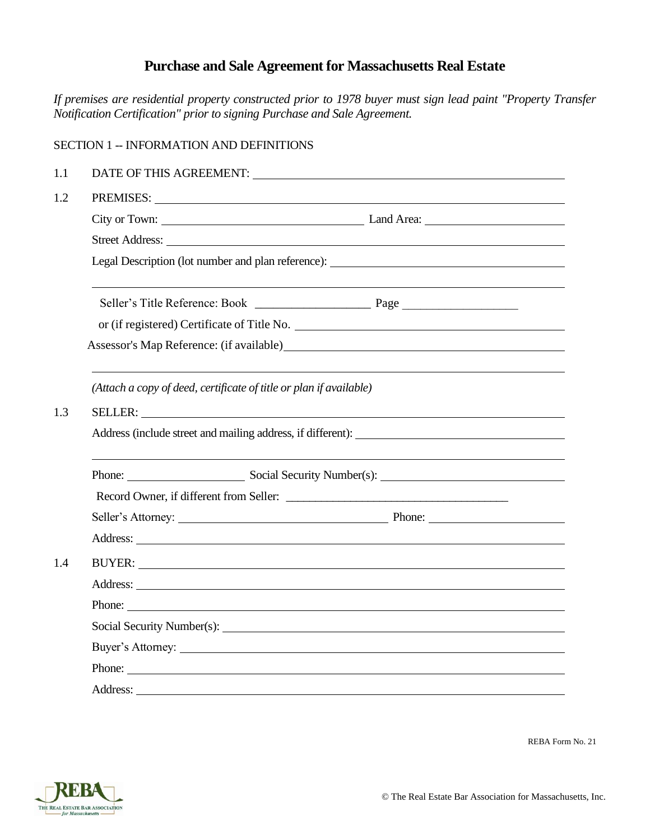# **Purchase and Sale Agreement for Massachusetts Real Estate**

*If premises are residential property constructed prior to 1978 buyer must sign lead paint "Property Transfer Notification Certification" prior to signing Purchase and Sale Agreement.*

|     | <b>SECTION 1 -- INFORMATION AND DEFINITIONS</b>                                   |                                                       |  |  |  |
|-----|-----------------------------------------------------------------------------------|-------------------------------------------------------|--|--|--|
| 1.1 |                                                                                   | DATE OF THIS AGREEMENT: UNIVERSITY OF THIS AGREEMENT: |  |  |  |
| 1.2 | PREMISES:                                                                         |                                                       |  |  |  |
|     |                                                                                   |                                                       |  |  |  |
|     |                                                                                   |                                                       |  |  |  |
|     | Legal Description (lot number and plan reference): ______________________________ |                                                       |  |  |  |
|     |                                                                                   |                                                       |  |  |  |
|     | or (if registered) Certificate of Title No.                                       |                                                       |  |  |  |
|     |                                                                                   |                                                       |  |  |  |
|     | (Attach a copy of deed, certificate of title or plan if available)                |                                                       |  |  |  |
| 1.3 |                                                                                   |                                                       |  |  |  |
|     | Address (include street and mailing address, if different):                       |                                                       |  |  |  |
|     |                                                                                   | Phone: Social Security Number(s): Number (s):         |  |  |  |
|     |                                                                                   |                                                       |  |  |  |
|     |                                                                                   |                                                       |  |  |  |
|     |                                                                                   |                                                       |  |  |  |
| 1.4 |                                                                                   |                                                       |  |  |  |
|     |                                                                                   |                                                       |  |  |  |
|     | Phone:                                                                            |                                                       |  |  |  |
|     |                                                                                   |                                                       |  |  |  |
|     |                                                                                   |                                                       |  |  |  |
|     | Phone:                                                                            |                                                       |  |  |  |
|     |                                                                                   |                                                       |  |  |  |

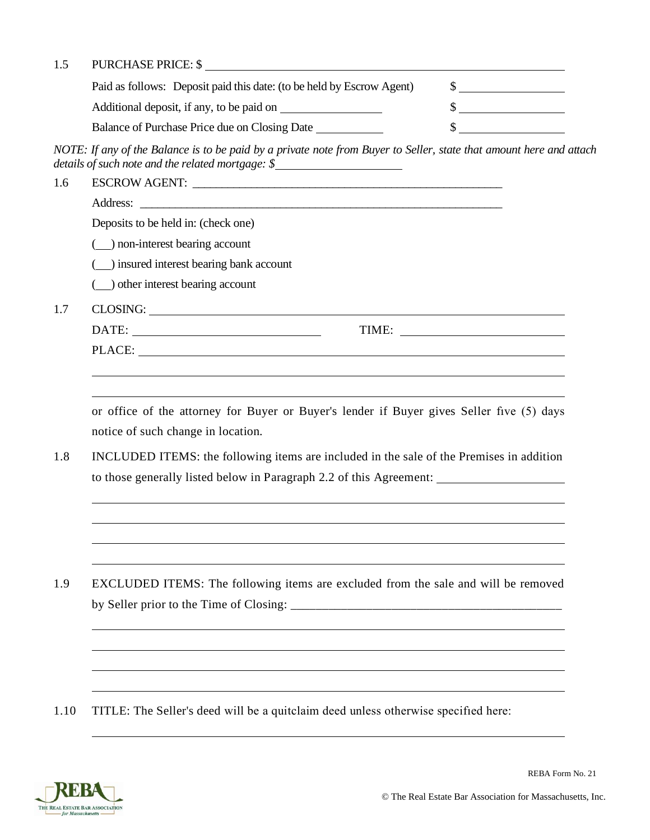## 1.5 PURCHASE PRICE: \$

| Paid as follows: Deposit paid this date: (to be held by Escrow Agent) |  |
|-----------------------------------------------------------------------|--|
| Additional deposit, if any, to be paid on                             |  |
| Balance of Purchase Price due on Closing Date                         |  |

*NOTE: If any of the Balance is to be paid by a private note from Buyer to Seller, state that amount here and attach details of such note and the related mortgage: \$*

| 1.6 | ESCROW AGENT: New York CONTENTS AND THE CONTENTS OF THE CONTENTS OF THE CONTENTS OF THE CONTENTS OF THE CONTENTS OF THE CONTENTS OF THE CONTENTS OF THE CONTENTS OF THE CONTENTS OF THE CONTENTS OF THE CONTENTS OF THE CONTEN |       |  |  |
|-----|--------------------------------------------------------------------------------------------------------------------------------------------------------------------------------------------------------------------------------|-------|--|--|
|     |                                                                                                                                                                                                                                |       |  |  |
|     | Deposits to be held in: (check one)                                                                                                                                                                                            |       |  |  |
|     | ( ) non-interest bearing account                                                                                                                                                                                               |       |  |  |
|     | ( ) insured interest bearing bank account                                                                                                                                                                                      |       |  |  |
|     | ( ) other interest bearing account                                                                                                                                                                                             |       |  |  |
| 1.7 |                                                                                                                                                                                                                                |       |  |  |
|     |                                                                                                                                                                                                                                | TIME: |  |  |
|     |                                                                                                                                                                                                                                |       |  |  |
|     |                                                                                                                                                                                                                                |       |  |  |
|     |                                                                                                                                                                                                                                |       |  |  |

or office of the attorney for Buyer or Buyer's lender if Buyer gives Seller fıve (5) days notice of such change in location.

1.8 INCLUDED ITEMS: the following items are included in the sale of the Premises in addition to those generally listed below in Paragraph 2.2 of this Agreement:

1.9 EXCLUDED ITEMS: The following items are excluded from the sale and will be removed by Seller prior to the Time of Closing: \_\_\_\_\_\_\_\_\_\_\_\_\_\_\_\_\_\_\_\_\_\_\_\_\_\_\_\_\_\_\_\_\_\_\_\_\_\_\_\_\_\_\_

1.10 TITLE: The Seller's deed will be a quitclaim deed unless otherwise specifıed here:

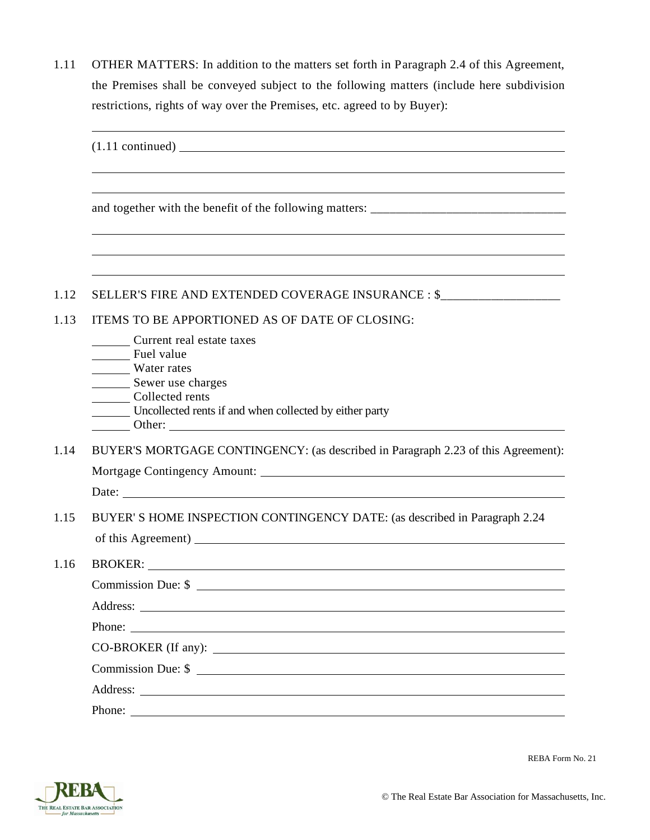1.11 OTHER MATTERS: In addition to the matters set forth in Paragraph 2.4 of this Agreement, the Premises shall be conveyed subject to the following matters (include here subdivision restrictions, rights of way over the Premises, etc. agreed to by Buyer):

|      | $(1.11 \text{ continued})$                                                                                                                                |  |  |
|------|-----------------------------------------------------------------------------------------------------------------------------------------------------------|--|--|
|      |                                                                                                                                                           |  |  |
|      |                                                                                                                                                           |  |  |
| 1.12 | SELLER'S FIRE AND EXTENDED COVERAGE INSURANCE : \$                                                                                                        |  |  |
| 1.13 | ITEMS TO BE APPORTIONED AS OF DATE OF CLOSING:                                                                                                            |  |  |
|      | Current real estate taxes<br>Fuel value<br>Water rates<br>Sewer use charges<br>Collected rents<br>Uncollected rents if and when collected by either party |  |  |
| 1.14 | BUYER'S MORTGAGE CONTINGENCY: (as described in Paragraph 2.23 of this Agreement):                                                                         |  |  |
|      |                                                                                                                                                           |  |  |
|      |                                                                                                                                                           |  |  |
| 1.15 | BUYER' S HOME INSPECTION CONTINGENCY DATE: (as described in Paragraph 2.24                                                                                |  |  |
| 1.16 |                                                                                                                                                           |  |  |
|      | Commission Due: \$                                                                                                                                        |  |  |
|      | Address:                                                                                                                                                  |  |  |
|      |                                                                                                                                                           |  |  |
|      | CO-BROKER (If any):                                                                                                                                       |  |  |
|      | Commission Due: \$                                                                                                                                        |  |  |
|      |                                                                                                                                                           |  |  |
|      | Phone:                                                                                                                                                    |  |  |

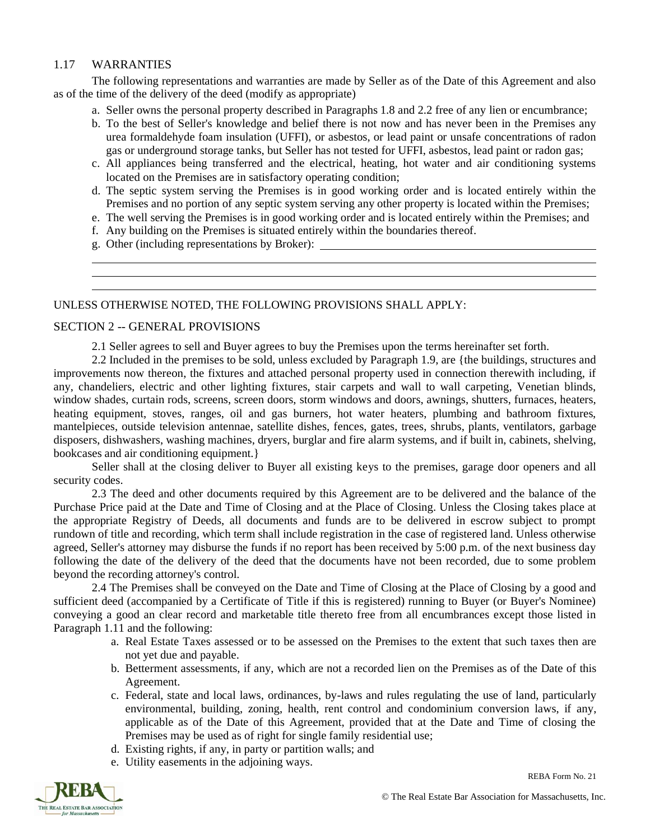# 1.17 WARRANTIES

The following representations and warranties are made by Seller as of the Date of this Agreement and also as of the time of the delivery of the deed (modify as appropriate)

- a. Seller owns the personal property described in Paragraphs 1.8 and 2.2 free of any lien or encumbrance;
- b. To the best of Seller's knowledge and belief there is not now and has never been in the Premises any urea formaldehyde foam insulation (UFFI), or asbestos, or lead paint or unsafe concentrations of radon gas or underground storage tanks, but Seller has not tested for UFFI, asbestos, lead paint or radon gas;
- c. All appliances being transferred and the electrical, heating, hot water and air conditioning systems located on the Premises are in satisfactory operating condition;
- d. The septic system serving the Premises is in good working order and is located entirely within the Premises and no portion of any septic system serving any other property is located within the Premises;
- e. The well serving the Premises is in good working order and is located entirely within the Premises; and
- f. Any building on the Premises is situated entirely within the boundaries thereof.
- g. Other (including representations by Broker):

#### UNLESS OTHERWISE NOTED, THE FOLLOWING PROVISIONS SHALL APPLY:

#### SECTION 2 -- GENERAL PROVISIONS

2.1 Seller agrees to sell and Buyer agrees to buy the Premises upon the terms hereinafter set forth.

2.2 Included in the premises to be sold, unless excluded by Paragraph 1.9, are {the buildings, structures and improvements now thereon, the fixtures and attached personal property used in connection therewith including, if any, chandeliers, electric and other lighting fixtures, stair carpets and wall to wall carpeting, Venetian blinds, window shades, curtain rods, screens, screen doors, storm windows and doors, awnings, shutters, furnaces, heaters, heating equipment, stoves, ranges, oil and gas burners, hot water heaters, plumbing and bathroom fixtures, mantelpieces, outside television antennae, satellite dishes, fences, gates, trees, shrubs, plants, ventilators, garbage disposers, dishwashers, washing machines, dryers, burglar and fire alarm systems, and if built in, cabinets, shelving, bookcases and air conditioning equipment.}

Seller shall at the closing deliver to Buyer all existing keys to the premises, garage door openers and all security codes.

2.3 The deed and other documents required by this Agreement are to be delivered and the balance of the Purchase Price paid at the Date and Time of Closing and at the Place of Closing. Unless the Closing takes place at the appropriate Registry of Deeds, all documents and funds are to be delivered in escrow subject to prompt rundown of title and recording, which term shall include registration in the case of registered land. Unless otherwise agreed, Seller's attorney may disburse the funds if no report has been received by 5:00 p.m. of the next business day following the date of the delivery of the deed that the documents have not been recorded, due to some problem beyond the recording attorney's control.

2.4 The Premises shall be conveyed on the Date and Time of Closing at the Place of Closing by a good and sufficient deed (accompanied by a Certificate of Title if this is registered) running to Buyer (or Buyer's Nominee) conveying a good an clear record and marketable title thereto free from all encumbrances except those listed in Paragraph 1.11 and the following:

- a. Real Estate Taxes assessed or to be assessed on the Premises to the extent that such taxes then are not yet due and payable.
- b. Betterment assessments, if any, which are not a recorded lien on the Premises as of the Date of this Agreement.
- c. Federal, state and local laws, ordinances, by-laws and rules regulating the use of land, particularly environmental, building, zoning, health, rent control and condominium conversion laws, if any, applicable as of the Date of this Agreement, provided that at the Date and Time of closing the Premises may be used as of right for single family residential use;
- d. Existing rights, if any, in party or partition walls; and
- e. Utility easements in the adjoining ways.

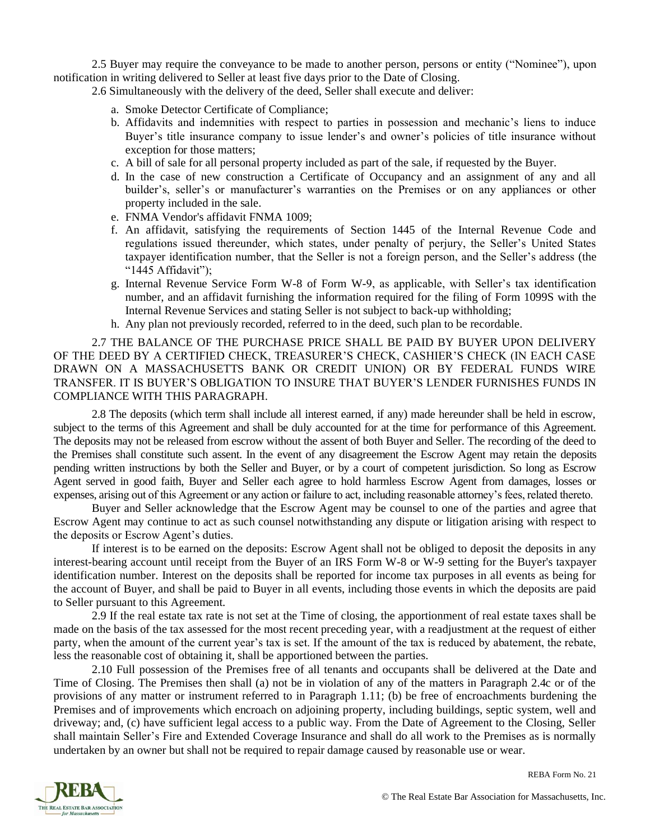2.5 Buyer may require the conveyance to be made to another person, persons or entity ("Nominee"), upon notification in writing delivered to Seller at least five days prior to the Date of Closing.

2.6 Simultaneously with the delivery of the deed, Seller shall execute and deliver:

- a. Smoke Detector Certificate of Compliance;
- b. Affidavits and indemnities with respect to parties in possession and mechanic's liens to induce Buyer's title insurance company to issue lender's and owner's policies of title insurance without exception for those matters;
- c. A bill of sale for all personal property included as part of the sale, if requested by the Buyer.
- d. In the case of new construction a Certificate of Occupancy and an assignment of any and all builder's, seller's or manufacturer's warranties on the Premises or on any appliances or other property included in the sale.
- e. FNMA Vendor's affidavit FNMA 1009;
- f. An affidavit, satisfying the requirements of Section 1445 of the Internal Revenue Code and regulations issued thereunder, which states, under penalty of perjury, the Seller's United States taxpayer identification number, that the Seller is not a foreign person, and the Seller's address (the "1445 Affidavit");
- g. Internal Revenue Service Form W-8 of Form W-9, as applicable, with Seller's tax identification number, and an affidavit furnishing the information required for the filing of Form 1099S with the Internal Revenue Services and stating Seller is not subject to back-up withholding;
- h. Any plan not previously recorded, referred to in the deed, such plan to be recordable.

2.7 THE BALANCE OF THE PURCHASE PRICE SHALL BE PAID BY BUYER UPON DELIVERY OF THE DEED BY A CERTIFIED CHECK, TREASURER'S CHECK, CASHIER'S CHECK (IN EACH CASE DRAWN ON A MASSACHUSETTS BANK OR CREDIT UNION) OR BY FEDERAL FUNDS WIRE TRANSFER. IT IS BUYER'S OBLIGATION TO INSURE THAT BUYER'S LENDER FURNISHES FUNDS IN COMPLIANCE WITH THIS PARAGRAPH.

2.8 The deposits (which term shall include all interest earned, if any) made hereunder shall be held in escrow, subject to the terms of this Agreement and shall be duly accounted for at the time for performance of this Agreement. The deposits may not be released from escrow without the assent of both Buyer and Seller. The recording of the deed to the Premises shall constitute such assent. In the event of any disagreement the Escrow Agent may retain the deposits pending written instructions by both the Seller and Buyer, or by a court of competent jurisdiction. So long as Escrow Agent served in good faith, Buyer and Seller each agree to hold harmless Escrow Agent from damages, losses or expenses, arising out of this Agreement or any action or failure to act, including reasonable attorney's fees, related thereto.

Buyer and Seller acknowledge that the Escrow Agent may be counsel to one of the parties and agree that Escrow Agent may continue to act as such counsel notwithstanding any dispute or litigation arising with respect to the deposits or Escrow Agent's duties.

If interest is to be earned on the deposits: Escrow Agent shall not be obliged to deposit the deposits in any interest-bearing account until receipt from the Buyer of an IRS Form W-8 or W-9 setting for the Buyer's taxpayer identification number. Interest on the deposits shall be reported for income tax purposes in all events as being for the account of Buyer, and shall be paid to Buyer in all events, including those events in which the deposits are paid to Seller pursuant to this Agreement.

2.9 If the real estate tax rate is not set at the Time of closing, the apportionment of real estate taxes shall be made on the basis of the tax assessed for the most recent preceding year, with a readjustment at the request of either party, when the amount of the current year's tax is set. If the amount of the tax is reduced by abatement, the rebate, less the reasonable cost of obtaining it, shall be apportioned between the parties.

2.10 Full possession of the Premises free of all tenants and occupants shall be delivered at the Date and Time of Closing. The Premises then shall (a) not be in violation of any of the matters in Paragraph 2.4c or of the provisions of any matter or instrument referred to in Paragraph 1.11; (b) be free of encroachments burdening the Premises and of improvements which encroach on adjoining property, including buildings, septic system, well and driveway; and, (c) have sufficient legal access to a public way. From the Date of Agreement to the Closing, Seller shall maintain Seller's Fire and Extended Coverage Insurance and shall do all work to the Premises as is normally undertaken by an owner but shall not be required to repair damage caused by reasonable use or wear.

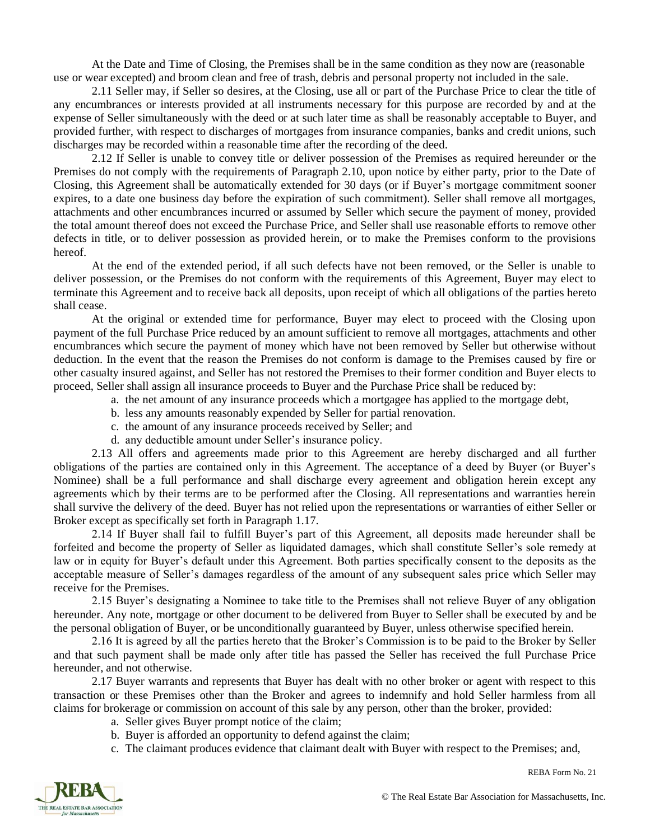At the Date and Time of Closing, the Premises shall be in the same condition as they now are (reasonable use or wear excepted) and broom clean and free of trash, debris and personal property not included in the sale.

2.11 Seller may, if Seller so desires, at the Closing, use all or part of the Purchase Price to clear the title of any encumbrances or interests provided at all instruments necessary for this purpose are recorded by and at the expense of Seller simultaneously with the deed or at such later time as shall be reasonably acceptable to Buyer, and provided further, with respect to discharges of mortgages from insurance companies, banks and credit unions, such discharges may be recorded within a reasonable time after the recording of the deed.

2.12 If Seller is unable to convey title or deliver possession of the Premises as required hereunder or the Premises do not comply with the requirements of Paragraph 2.10, upon notice by either party, prior to the Date of Closing, this Agreement shall be automatically extended for 30 days (or if Buyer's mortgage commitment sooner expires, to a date one business day before the expiration of such commitment). Seller shall remove all mortgages, attachments and other encumbrances incurred or assumed by Seller which secure the payment of money, provided the total amount thereof does not exceed the Purchase Price, and Seller shall use reasonable efforts to remove other defects in title, or to deliver possession as provided herein, or to make the Premises conform to the provisions hereof.

At the end of the extended period, if all such defects have not been removed, or the Seller is unable to deliver possession, or the Premises do not conform with the requirements of this Agreement, Buyer may elect to terminate this Agreement and to receive back all deposits, upon receipt of which all obligations of the parties hereto shall cease.

At the original or extended time for performance, Buyer may elect to proceed with the Closing upon payment of the full Purchase Price reduced by an amount sufficient to remove all mortgages, attachments and other encumbrances which secure the payment of money which have not been removed by Seller but otherwise without deduction. In the event that the reason the Premises do not conform is damage to the Premises caused by fire or other casualty insured against, and Seller has not restored the Premises to their former condition and Buyer elects to proceed, Seller shall assign all insurance proceeds to Buyer and the Purchase Price shall be reduced by:

- a. the net amount of any insurance proceeds which a mortgagee has applied to the mortgage debt,
- b. less any amounts reasonably expended by Seller for partial renovation.
- c. the amount of any insurance proceeds received by Seller; and
- d. any deductible amount under Seller's insurance policy.

2.13 All offers and agreements made prior to this Agreement are hereby discharged and all further obligations of the parties are contained only in this Agreement. The acceptance of a deed by Buyer (or Buyer's Nominee) shall be a full performance and shall discharge every agreement and obligation herein except any agreements which by their terms are to be performed after the Closing. All representations and warranties herein shall survive the delivery of the deed. Buyer has not relied upon the representations or warranties of either Seller or Broker except as specifically set forth in Paragraph 1.17.

2.14 If Buyer shall fail to fulfill Buyer's part of this Agreement, all deposits made hereunder shall be forfeited and become the property of Seller as liquidated damages, which shall constitute Seller's sole remedy at law or in equity for Buyer's default under this Agreement. Both parties specifically consent to the deposits as the acceptable measure of Seller's damages regardless of the amount of any subsequent sales price which Seller may receive for the Premises.

2.15 Buyer's designating a Nominee to take title to the Premises shall not relieve Buyer of any obligation hereunder. Any note, mortgage or other document to be delivered from Buyer to Seller shall be executed by and be the personal obligation of Buyer, or be unconditionally guaranteed by Buyer, unless otherwise specified herein.

2.16 It is agreed by all the parties hereto that the Broker's Commission is to be paid to the Broker by Seller and that such payment shall be made only after title has passed the Seller has received the full Purchase Price hereunder, and not otherwise.

2.17 Buyer warrants and represents that Buyer has dealt with no other broker or agent with respect to this transaction or these Premises other than the Broker and agrees to indemnify and hold Seller harmless from all claims for brokerage or commission on account of this sale by any person, other than the broker, provided:

- a. Seller gives Buyer prompt notice of the claim;
- b. Buyer is afforded an opportunity to defend against the claim;
- c. The claimant produces evidence that claimant dealt with Buyer with respect to the Premises; and,

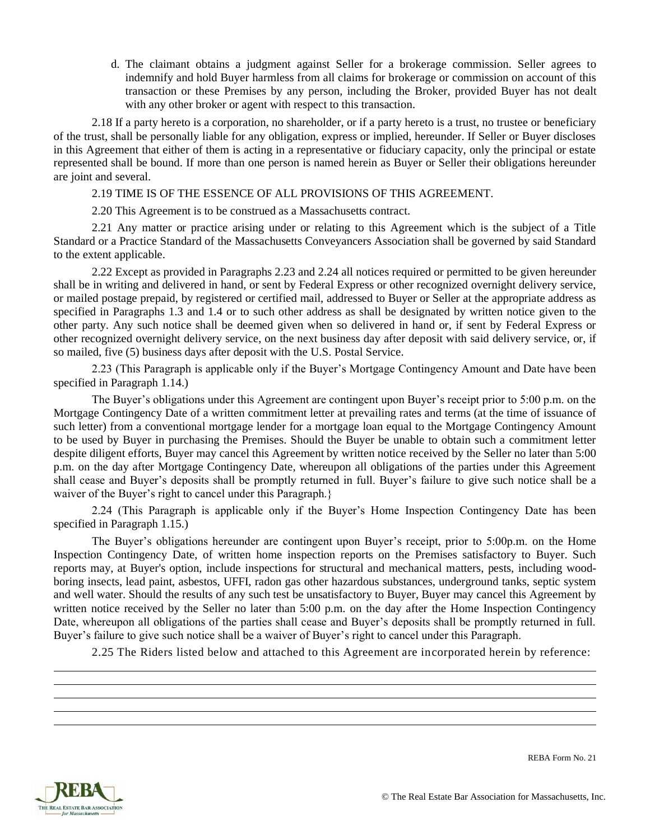d. The claimant obtains a judgment against Seller for a brokerage commission. Seller agrees to indemnify and hold Buyer harmless from all claims for brokerage or commission on account of this transaction or these Premises by any person, including the Broker, provided Buyer has not dealt with any other broker or agent with respect to this transaction.

2.18 If a party hereto is a corporation, no shareholder, or if a party hereto is a trust, no trustee or beneficiary of the trust, shall be personally liable for any obligation, express or implied, hereunder. If Seller or Buyer discloses in this Agreement that either of them is acting in a representative or fiduciary capacity, only the principal or estate represented shall be bound. If more than one person is named herein as Buyer or Seller their obligations hereunder are joint and several.

2.19 TIME IS OF THE ESSENCE OF ALL PROVISIONS OF THIS AGREEMENT.

2.20 This Agreement is to be construed as a Massachusetts contract.

2.21 Any matter or practice arising under or relating to this Agreement which is the subject of a Title Standard or a Practice Standard of the Massachusetts Conveyancers Association shall be governed by said Standard to the extent applicable.

2.22 Except as provided in Paragraphs 2.23 and 2.24 all notices required or permitted to be given hereunder shall be in writing and delivered in hand, or sent by Federal Express or other recognized overnight delivery service, or mailed postage prepaid, by registered or certified mail, addressed to Buyer or Seller at the appropriate address as specified in Paragraphs 1.3 and 1.4 or to such other address as shall be designated by written notice given to the other party. Any such notice shall be deemed given when so delivered in hand or, if sent by Federal Express or other recognized overnight delivery service, on the next business day after deposit with said delivery service, or, if so mailed, five (5) business days after deposit with the U.S. Postal Service.

2.23 (This Paragraph is applicable only if the Buyer's Mortgage Contingency Amount and Date have been specified in Paragraph 1.14.)

The Buyer's obligations under this Agreement are contingent upon Buyer's receipt prior to 5:00 p.m. on the Mortgage Contingency Date of a written commitment letter at prevailing rates and terms (at the time of issuance of such letter) from a conventional mortgage lender for a mortgage loan equal to the Mortgage Contingency Amount to be used by Buyer in purchasing the Premises. Should the Buyer be unable to obtain such a commitment letter despite diligent efforts, Buyer may cancel this Agreement by written notice received by the Seller no later than 5:00 p.m. on the day after Mortgage Contingency Date, whereupon all obligations of the parties under this Agreement shall cease and Buyer's deposits shall be promptly returned in full. Buyer's failure to give such notice shall be a waiver of the Buyer's right to cancel under this Paragraph.}

2.24 (This Paragraph is applicable only if the Buyer's Home Inspection Contingency Date has been specified in Paragraph 1.15.)

The Buyer's obligations hereunder are contingent upon Buyer's receipt, prior to 5:00p.m. on the Home Inspection Contingency Date, of written home inspection reports on the Premises satisfactory to Buyer. Such reports may, at Buyer's option, include inspections for structural and mechanical matters, pests, including woodboring insects, lead paint, asbestos, UFFI, radon gas other hazardous substances, underground tanks, septic system and well water. Should the results of any such test be unsatisfactory to Buyer, Buyer may cancel this Agreement by written notice received by the Seller no later than 5:00 p.m. on the day after the Home Inspection Contingency Date, whereupon all obligations of the parties shall cease and Buyer's deposits shall be promptly returned in full. Buyer's failure to give such notice shall be a waiver of Buyer's right to cancel under this Paragraph.

2.25 The Riders listed below and attached to this Agreement are incorporated herein by reference: